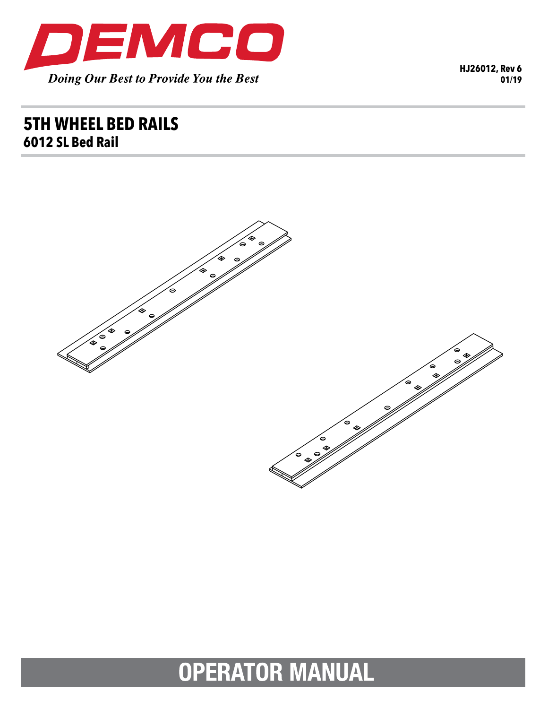

HJ26012, Rev 6  $01/19$ 

## **5TH WHEEL BED RAILS** 6012 SL Bed Rail



# **OPERATOR MANUAL**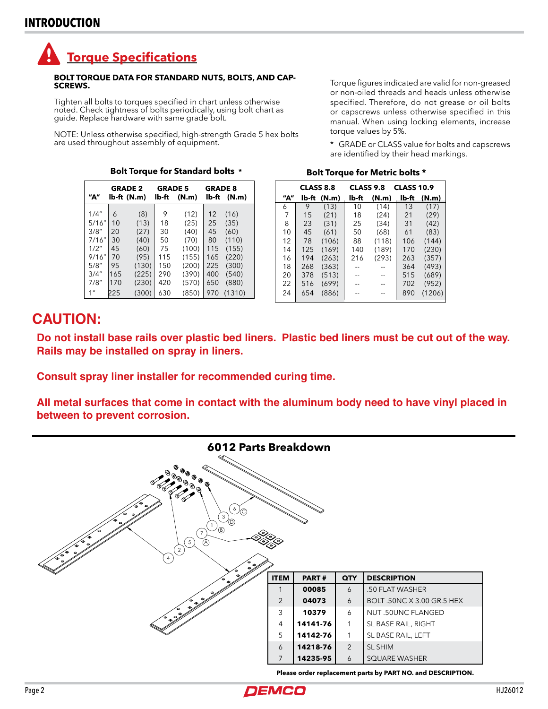## **Torque Specifications**

#### **BOLT TORQUE DATA FOR STANDARD NUTS, BOLTS, AND CAP-SCREWS.**

Tighten all bolts to torques specified in chart unless otherwise<br>noted. Check tightness of bolts periodically, using bolt chart as guide. Replace hardware with same grade bolt.

NOTE: Unless otherwise specified, high-strength Grade 5 hex bolts are used throughout assembly of equipment.

| "А"             | <b>GRADE 2</b><br>lb-ft (N.m) |       | <b>GRADE 5</b><br>lb-ft<br>(N.m) |       | <b>GRADE 8</b><br>lb-ft<br>(N.m) |        |
|-----------------|-------------------------------|-------|----------------------------------|-------|----------------------------------|--------|
| 1/4"            | 6                             | (8)   | 9                                | (12)  | 12                               | (16)   |
| 5/16''          | 10                            | (13)  | 18                               | (25)  | 25                               | (35)   |
| 3/8''           | 20                            | (27)  | 30                               | (40)  | 45                               | (60)   |
| 7/16''          | 30                            | (40)  | 50                               | (70)  | 80                               | (110)  |
| 1/2"            | 45                            | (60)  | 75                               | (100) | 115                              | (155)  |
| 9/16''          | 70                            | (95)  | 115                              | (155) | 165                              | (220)  |
| 5/8''           | 95                            | (130) | 150                              | (200) | 225                              | (300)  |
| 3/4''           | 165                           | (225) | 290                              | (390) | 400                              | (540)  |
| 7/8''           | 170                           | (230) | 420                              | (570) | 650                              | (880)  |
| 1 <sup>''</sup> | 225                           | (300) | 630                              | (850) | 970                              | (1310) |

Torque figures indicated are valid for non-greased or non-oiled threads and heads unless otherwise specified. Therefore, do not grease or oil bolts or capscrews unless otherwise specified in this manual. When using locking elements, increase torque values by 5%.

\* GRADE or CLASS value for bolts and capscrews are identified by their head markings.

|     | <b>CLASS 8.8</b> |       | <b>CLASS 9.8</b><br><b>CLASS 10.9</b> |       |       |        |
|-----|------------------|-------|---------------------------------------|-------|-------|--------|
| "А" | lb-ft            | (N.m) | lb-ft                                 | (N.m) | lb-ft | (N.m)  |
| 6   | 9                | (13)  | 10                                    | (14)  | 13    | (17)   |
| 7   | 15               | (21)  | 18                                    | (24)  | 21    | (29)   |
| 8   | 23               | (31)  | 25                                    | (34)  | 31    | (42)   |
| 10  | 45               | (61)  | 50                                    | (68)  | 61    | (83)   |
| 12  | 78               | (106) | 88                                    | (118) | 106   | (144)  |
| 14  | 125              | (169) | 140                                   | (189) | 170   | (230)  |
| 16  | 194              | (263) | 216                                   | (293) | 263   | (357)  |
| 18  | 268              | (363) |                                       |       | 364   | (493)  |
| 20  | 378              | (513) |                                       | --    | 515   | (689)  |
| 22  | 516              | (699) |                                       | --    | 702   | (952)  |
| 24  | 654              | (886) |                                       | --    | 890   | (1206) |

Bolt Torque for Metric bolts \*

#### **Bolt Torque for Standard bolts \***

### **CAUTION:**

Do not install base rails over plastic bed liners. Plastic bed liners must be cut out of the way. Rails may be installed on spray in liners.

Consult spray liner installer for recommended curing time.

All metal surfaces that come in contact with the aluminum body need to have vinyl placed in between to prevent corrosion.



Please order replacement parts by PART NO. and DESCRIPTION.

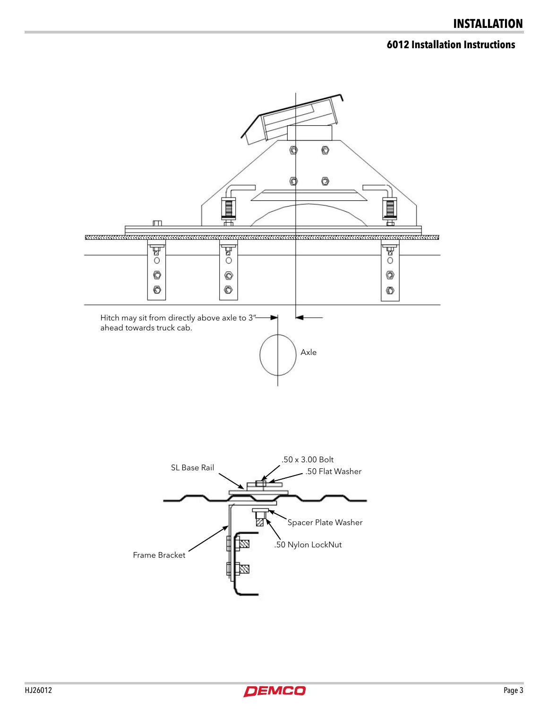#### **6012 Installation Instructions**